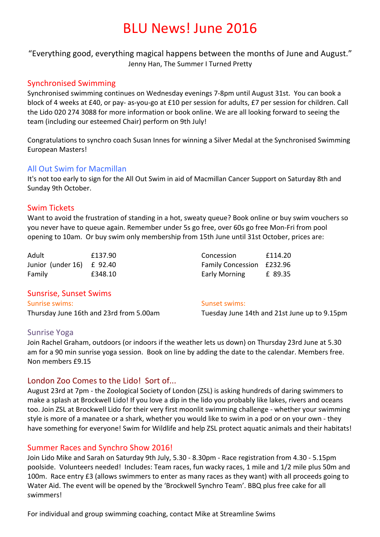# **BLU News! June 2016**

"Everything good, everything magical happens between the months of June and August." Jenny Han, The Summer I Turned Pretty

## Synchronised Swimming

Synchronised swimming continues on Wednesday evenings 7-8pm until August 31st. You can book a block of 4 weeks at £40, or pay- as-you-go at £10 per session for adults, £7 per session for children. Call the Lido 020 274 3088 for more information or book online. We are all looking forward to seeing the team (including our esteemed Chair) perform on 9th July!

Congratulations to synchro coach Susan Innes for winning a Silver Medal at the Synchronised Swimming European Masters! 

#### All Out Swim for Macmillan

It's not too early to sign for the All Out Swim in aid of Macmillan Cancer Support on Saturday 8th and Sunday 9th October.

## Swim Tickets

Want to avoid the frustration of standing in a hot, sweaty queue? Book online or buy swim vouchers so you never have to queue again. Remember under 5s go free, over 60s go free Mon-Fri from pool opening to 10am. Or buy swim only membership from 15th June until 31st October, prices are:

| Adult                     | £137.90 | Concession                | £114.20 |
|---------------------------|---------|---------------------------|---------|
| Junior (under 16) £ 92.40 |         | Family Concession £232.96 |         |
| Family                    | £348.10 | <b>Early Morning</b>      | £ 89.35 |

## Sunsrise, Sunset Swims Sunrise swims:

Thursday June 16th and 23rd from 5.00am

Sunset swims:

Tuesday June 14th and 21st June up to 9.15pm

## Sunrise Yoga

Join Rachel Graham, outdoors (or indoors if the weather lets us down) on Thursday 23rd June at 5.30 am for a 90 min sunrise yoga session. Book on line by adding the date to the calendar. Members free. Non members £9.15

## London Zoo Comes to the Lido! Sort of...

August 23rd at 7pm - the Zoological Society of London (ZSL) is asking hundreds of daring swimmers to make a splash at Brockwell Lido! If you love a dip in the lido you probably like lakes, rivers and oceans too. Join ZSL at Brockwell Lido for their very first moonlit swimming challenge - whether your swimming style is more of a manatee or a shark, whether you would like to swim in a pod or on your own - they have something for everyone! Swim for Wildlife and help ZSL protect aquatic animals and their habitats!

## Summer Races and Synchro Show 2016!

Join Lido Mike and Sarah on Saturday 9th July, 5.30 - 8.30pm - Race registration from 4.30 - 5.15pm poolside. Volunteers needed! Includes: Team races, fun wacky races, 1 mile and 1/2 mile plus 50m and 100m. Race entry £3 (allows swimmers to enter as many races as they want) with all proceeds going to Water Aid. The event will be opened by the 'Brockwell Synchro Team'. BBQ plus free cake for all swimmers!

For individual and group swimming coaching, contact Mike at Streamline Swims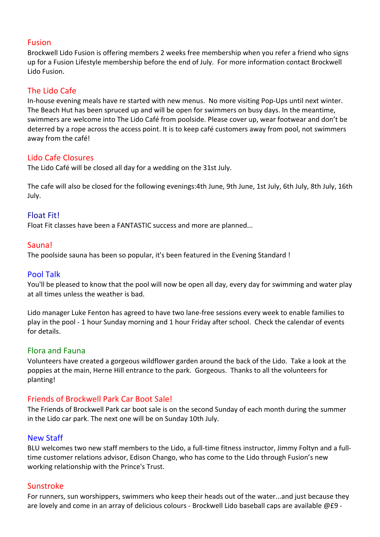#### Fusion

Brockwell Lido Fusion is offering members 2 weeks free membership when you refer a friend who signs up for a Fusion Lifestyle membership before the end of July. For more information contact Brockwell Lido Fusion.

### The Lido Cafe

In-house evening meals have re started with new menus. No more visiting Pop-Ups until next winter. The Beach Hut has been spruced up and will be open for swimmers on busy days. In the meantime, swimmers are welcome into The Lido Café from poolside. Please cover up, wear footwear and don't be deterred by a rope across the access point. It is to keep café customers away from pool, not swimmers away from the café!

#### Lido Cafe Closures

The Lido Café will be closed all day for a wedding on the 31st July.

The cafe will also be closed for the following evenings:4th June, 9th June, 1st July, 6th July, 8th July, 16th July.

## Float Fit!

Float Fit classes have been a FANTASTIC success and more are planned...

#### Sauna!

The poolside sauna has been so popular, it's been featured in the Evening Standard!

#### Pool Talk

You'll be pleased to know that the pool will now be open all day, every day for swimming and water play at all times unless the weather is bad.

Lido manager Luke Fenton has agreed to have two lane-free sessions every week to enable families to play in the pool - 1 hour Sunday morning and 1 hour Friday after school. Check the calendar of events for details.

#### Flora and Fauna

Volunteers have created a gorgeous wildflower garden around the back of the Lido. Take a look at the poppies at the main, Herne Hill entrance to the park. Gorgeous. Thanks to all the volunteers for planting!

## Friends of Brockwell Park Car Boot Sale!

The Friends of Brockwell Park car boot sale is on the second Sunday of each month during the summer in the Lido car park. The next one will be on Sunday 10th July.

## New Staff

BLU welcomes two new staff members to the Lido, a full-time fitness instructor, Jimmy Foltyn and a fulltime customer relations advisor, Edison Chango, who has come to the Lido through Fusion's new working relationship with the Prince's Trust.

## Sunstroke

For runners, sun worshippers, swimmers who keep their heads out of the water...and just because they are lovely and come in an array of delicious colours - Brockwell Lido baseball caps are available @£9 -